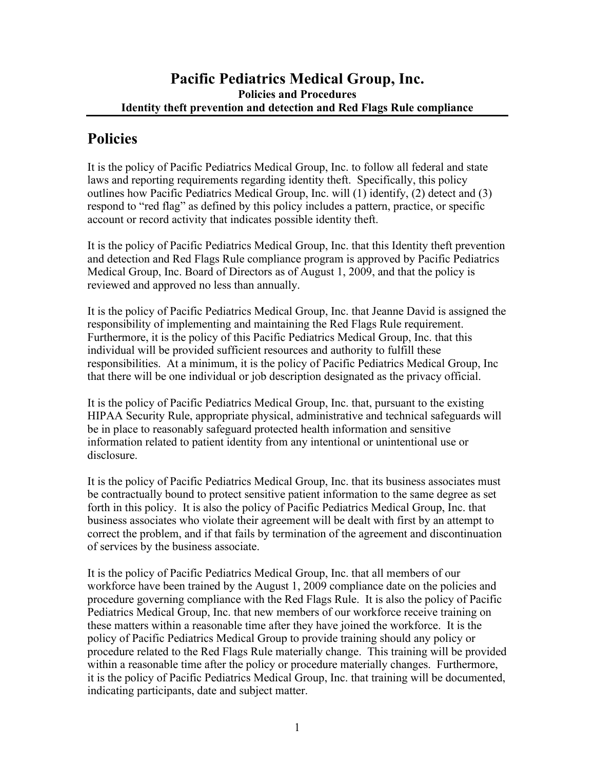## **Policies**

It is the policy of Pacific Pediatrics Medical Group, Inc. to follow all federal and state laws and reporting requirements regarding identity theft. Specifically, this policy outlines how Pacific Pediatrics Medical Group, Inc. will (1) identify, (2) detect and (3) respond to "red flag" as defined by this policy includes a pattern, practice, or specific account or record activity that indicates possible identity theft.

It is the policy of Pacific Pediatrics Medical Group, Inc. that this Identity theft prevention and detection and Red Flags Rule compliance program is approved by Pacific Pediatrics Medical Group, Inc. Board of Directors as of August 1, 2009, and that the policy is reviewed and approved no less than annually.

It is the policy of Pacific Pediatrics Medical Group, Inc. that Jeanne David is assigned the responsibility of implementing and maintaining the Red Flags Rule requirement. Furthermore, it is the policy of this Pacific Pediatrics Medical Group, Inc. that this individual will be provided sufficient resources and authority to fulfill these responsibilities. At a minimum, it is the policy of Pacific Pediatrics Medical Group, Inc that there will be one individual or job description designated as the privacy official.

It is the policy of Pacific Pediatrics Medical Group, Inc. that, pursuant to the existing HIPAA Security Rule, appropriate physical, administrative and technical safeguards will be in place to reasonably safeguard protected health information and sensitive information related to patient identity from any intentional or unintentional use or disclosure.

It is the policy of Pacific Pediatrics Medical Group, Inc. that its business associates must be contractually bound to protect sensitive patient information to the same degree as set forth in this policy. It is also the policy of Pacific Pediatrics Medical Group, Inc. that business associates who violate their agreement will be dealt with first by an attempt to correct the problem, and if that fails by termination of the agreement and discontinuation of services by the business associate.

It is the policy of Pacific Pediatrics Medical Group, Inc. that all members of our workforce have been trained by the August 1, 2009 compliance date on the policies and procedure governing compliance with the Red Flags Rule. It is also the policy of Pacific Pediatrics Medical Group, Inc. that new members of our workforce receive training on these matters within a reasonable time after they have joined the workforce. It is the policy of Pacific Pediatrics Medical Group to provide training should any policy or procedure related to the Red Flags Rule materially change. This training will be provided within a reasonable time after the policy or procedure materially changes. Furthermore, it is the policy of Pacific Pediatrics Medical Group, Inc. that training will be documented, indicating participants, date and subject matter.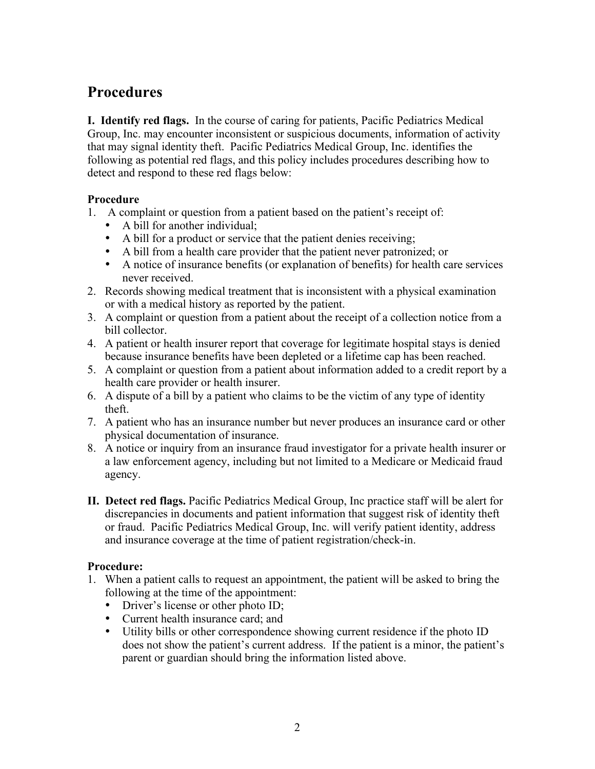# **Procedures**

**I. Identify red flags.** In the course of caring for patients, Pacific Pediatrics Medical Group, Inc. may encounter inconsistent or suspicious documents, information of activity that may signal identity theft. Pacific Pediatrics Medical Group, Inc. identifies the following as potential red flags, and this policy includes procedures describing how to detect and respond to these red flags below:

#### **Procedure**

- 1. A complaint or question from a patient based on the patient's receipt of:
	- A bill for another individual:
	- A bill for a product or service that the patient denies receiving;
	- A bill from a health care provider that the patient never patronized; or
	- A notice of insurance benefits (or explanation of benefits) for health care services never received.
- 2. Records showing medical treatment that is inconsistent with a physical examination or with a medical history as reported by the patient.
- 3. A complaint or question from a patient about the receipt of a collection notice from a bill collector.
- 4. A patient or health insurer report that coverage for legitimate hospital stays is denied because insurance benefits have been depleted or a lifetime cap has been reached.
- 5. A complaint or question from a patient about information added to a credit report by a health care provider or health insurer.
- 6. A dispute of a bill by a patient who claims to be the victim of any type of identity theft.
- 7. A patient who has an insurance number but never produces an insurance card or other physical documentation of insurance.
- 8. A notice or inquiry from an insurance fraud investigator for a private health insurer or a law enforcement agency, including but not limited to a Medicare or Medicaid fraud agency.
- **II. Detect red flags.** Pacific Pediatrics Medical Group, Inc practice staff will be alert for discrepancies in documents and patient information that suggest risk of identity theft or fraud. Pacific Pediatrics Medical Group, Inc. will verify patient identity, address and insurance coverage at the time of patient registration/check-in.

## **Procedure:**

- 1. When a patient calls to request an appointment, the patient will be asked to bring the following at the time of the appointment:
	- Driver's license or other photo ID;
	- Current health insurance card; and
	- Utility bills or other correspondence showing current residence if the photo ID does not show the patient's current address. If the patient is a minor, the patient's parent or guardian should bring the information listed above.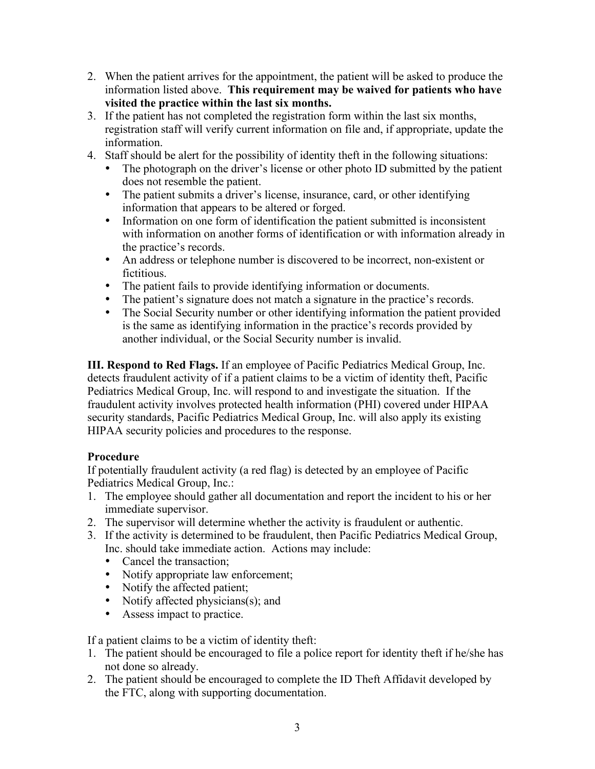- 2. When the patient arrives for the appointment, the patient will be asked to produce the information listed above. **This requirement may be waived for patients who have visited the practice within the last six months.**
- 3. If the patient has not completed the registration form within the last six months, registration staff will verify current information on file and, if appropriate, update the information.
- 4. Staff should be alert for the possibility of identity theft in the following situations:
	- The photograph on the driver's license or other photo ID submitted by the patient does not resemble the patient.
	- The patient submits a driver's license, insurance, card, or other identifying information that appears to be altered or forged.
	- Information on one form of identification the patient submitted is inconsistent with information on another forms of identification or with information already in the practice's records.
	- An address or telephone number is discovered to be incorrect, non-existent or fictitious.
	- The patient fails to provide identifying information or documents.
	- The patient's signature does not match a signature in the practice's records.
	- The Social Security number or other identifying information the patient provided is the same as identifying information in the practice's records provided by another individual, or the Social Security number is invalid.

**III. Respond to Red Flags.** If an employee of Pacific Pediatrics Medical Group, Inc. detects fraudulent activity of if a patient claims to be a victim of identity theft, Pacific Pediatrics Medical Group, Inc. will respond to and investigate the situation. If the fraudulent activity involves protected health information (PHI) covered under HIPAA security standards, Pacific Pediatrics Medical Group, Inc. will also apply its existing HIPAA security policies and procedures to the response.

## **Procedure**

If potentially fraudulent activity (a red flag) is detected by an employee of Pacific Pediatrics Medical Group, Inc.:

- 1. The employee should gather all documentation and report the incident to his or her immediate supervisor.
- 2. The supervisor will determine whether the activity is fraudulent or authentic.
- 3. If the activity is determined to be fraudulent, then Pacific Pediatrics Medical Group, Inc. should take immediate action. Actions may include:
	- Cancel the transaction:
	- Notify appropriate law enforcement;
	- Notify the affected patient;
	- Notify affected physicians(s); and
	- Assess impact to practice.

If a patient claims to be a victim of identity theft:

- 1. The patient should be encouraged to file a police report for identity theft if he/she has not done so already.
- 2. The patient should be encouraged to complete the ID Theft Affidavit developed by the FTC, along with supporting documentation.